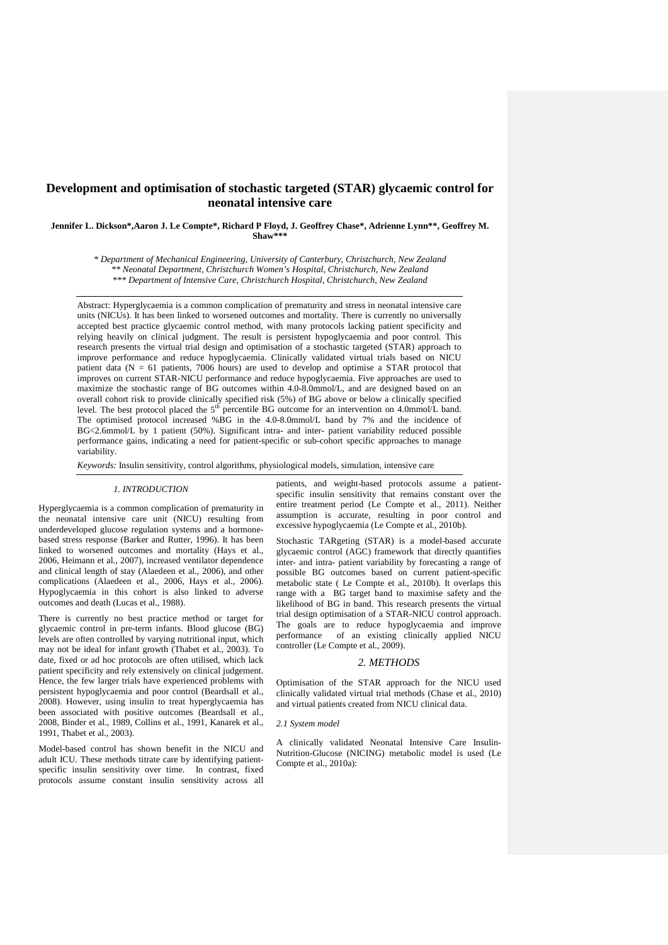# **Development and optimisation of stochastic targeted (STAR) glycaemic control for neonatal intensive care**

**Jennifer L. Dickson\*,Aaron J. Le Compte\*, Richard P Floyd, J. Geoffrey Chase\*, Adrienne Lynn\*\*, Geoffrey M. Shaw\*\*\***

> *\* Department of Mechanical Engineering, University of Canterbury, Christchurch, New Zealand \*\* Neonatal Department, Christchurch Women's Hospital, Christchurch, New Zealand \*\*\* Department of Intensive Care, Christchurch Hospital, Christchurch, New Zealand*

Abstract: Hyperglycaemia is a common complication of prematurity and stress in neonatal intensive care units (NICUs). It has been linked to worsened outcomes and mortality. There is currently no universally accepted best practice glycaemic control method, with many protocols lacking patient specificity and relying heavily on clinical judgment. The result is persistent hypoglycaemia and poor control. This research presents the virtual trial design and optimisation of a stochastic targeted (STAR) approach to improve performance and reduce hypoglycaemia. Clinically validated virtual trials based on NICU patient data (N = 61 patients, 7006 hours) are used to develop and optimise a STAR protocol that improves on current STAR-NICU performance and reduce hypoglycaemia. Five approaches are used to maximize the stochastic range of BG outcomes within 4.0-8.0mmol/L, and are designed based on an overall cohort risk to provide clinically specified risk (5%) of BG above or below a clinically specified level. The best protocol placed the  $5<sup>th</sup>$  percentile BG outcome for an intervention on 4.0mmol/L band. The optimised protocol increased %BG in the 4.0-8.0mmol/L band by 7% and the incidence of BG<2.6mmol/L by 1 patient (50%). Significant intra- and inter- patient variability reduced possible performance gains, indicating a need for patient-specific or sub-cohort specific approaches to manage variability.

*Keywords:* Insulin sensitivity, control algorithms, physiological models, simulation, intensive care

### *1. INTRODUCTION*

Hyperglycaemia is a common complication of prematurity in the neonatal intensive care unit (NICU) resulting from underdeveloped glucose regulation systems and a hormonebased stress response [\(Barker and Rutter, 1996\)](#page-5-0). It has been linked to worsened outcomes and mortality [\(Hays et al.,](#page-5-1)  [2006,](#page-5-1) [Heimann et al., 2007\)](#page-5-2), increased ventilator dependence and clinical length of stay [\(Alaedeen et al., 2006\)](#page-5-3), and other complications [\(Alaedeen et al., 2006,](#page-5-3) [Hays et al., 2006\)](#page-5-1). Hypoglycaemia in this cohort is also linked to adverse outcomes and death [\(Lucas et al., 1988\)](#page-5-4).

There is currently no best practice method or target for glycaemic control in pre-term infants. Blood glucose (BG) levels are often controlled by varying nutritional input, which may not be ideal for infant growth [\(Thabet et al., 2003\)](#page-5-5). To date, fixed or ad hoc protocols are often utilised, which lack patient specificity and rely extensively on clinical judgement. Hence, the few larger trials have experienced problems with persistent hypoglycaemia and poor control [\(Beardsall et al.,](#page-5-6)  [2008\)](#page-5-6). However, using insulin to treat hyperglycaemia has been associated with positive outcomes [\(Beardsall et al.,](#page-5-6)  [2008,](#page-5-6) [Binder et al., 1989,](#page-5-7) [Collins et al., 1991,](#page-5-8) [Kanarek et al.,](#page-5-9)  [1991,](#page-5-9) [Thabet et al., 2003\)](#page-5-5).

Model-based control has shown benefit in the NICU and adult ICU. These methods titrate care by identifying patientspecific insulin sensitivity over time. In contrast, fixed protocols assume constant insulin sensitivity across all

patients, and weight-based protocols assume a patientspecific insulin sensitivity that remains constant over the entire treatment period [\(Le Compte et al., 2011\)](#page-5-10). Neither assumption is accurate, resulting in poor control and excessive hypoglycaemia [\(Le Compte et al., 2010b\)](#page-5-11).

Stochastic TARgeting (STAR) is a model-based accurate glycaemic control (AGC) framework that directly quantifies inter- and intra- patient variability by forecasting a range of possible BG outcomes based on current patient-specific metabolic state ( [Le Compte et al., 2010b\)](#page-5-11). It overlaps this range with a BG target band to maximise safety and the likelihood of BG in band. This research presents the virtual trial design optimisation of a STAR-NICU control approach. The goals are to reduce hypoglycaemia and improve performance of an existing clinically applied NICU controller [\(Le Compte et al., 2009\)](#page-5-12).

#### *2. METHODS*

Optimisation of the STAR approach for the NICU used clinically validated virtual trial methods [\(Chase et al., 2010\)](#page-5-13) and virtual patients created from NICU clinical data.

#### *2.1 System model*

A clinically validated Neonatal Intensive Care Insulin-Nutrition-Glucose (NICING) metabolic model is used [\(Le](#page-5-14)  [Compte et al., 2010a\)](#page-5-14):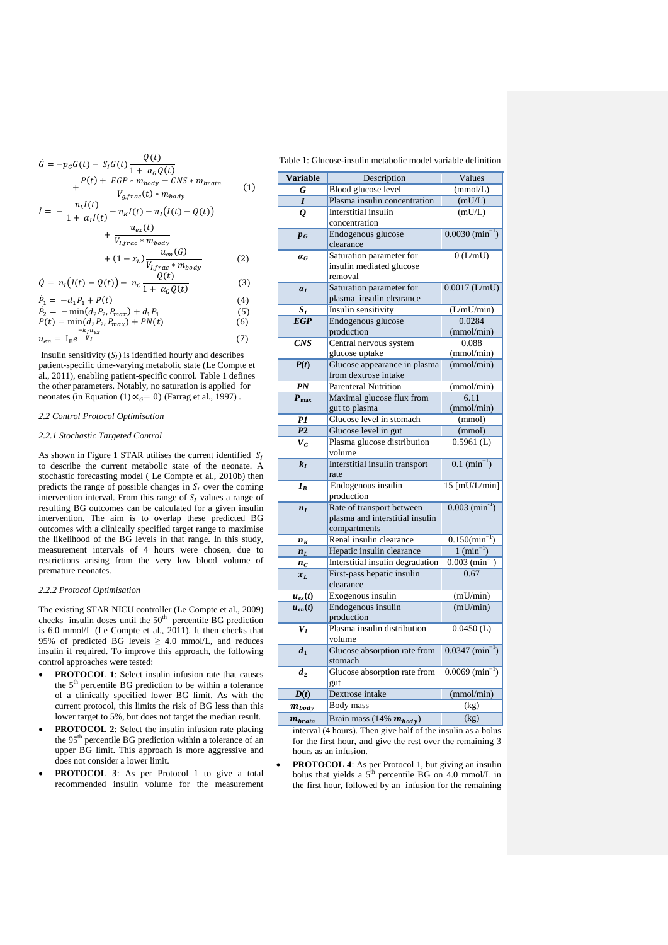$$
\hat{G} = -p_G G(t) - S_I G(t) \frac{Q(t)}{1 + \alpha_G Q(t)} + \frac{P(t) + EGP * m_{body} - CNS * m_{brain}}{V_{g, frac}(t) * m_{body}} \qquad (1)
$$
\n
$$
\hat{I} = -\frac{n_L I(t)}{1 + \alpha_I I(t)} - n_R I(t) - n_I (I(t) - Q(t)) + \frac{u_{ex}(t)}{V_{I, frac} * m_{body}} + (1 - x_L) \frac{u_{en}(G)}{V_{I, frac} * m_{body}} \qquad (2)
$$
\n
$$
\hat{Q} = n_I (I(t) - Q(t)) - n_C \frac{Q(t)}{1 + \alpha_G Q(t)} \qquad (3)
$$
\n
$$
\hat{P}_1 = -d_1 P_1 + P(t) \qquad (4)
$$
\n
$$
\hat{P}_2 = -\min(d_2 P_2, P_{max}) + d_1 P_1 \qquad (5)
$$
\n
$$
P(t) = \min(d_2 P_2, P_{max}) + PN(t) \qquad (6)
$$
\n
$$
u_{en} = I_B e^{\frac{-V_I u_{ex}}{V_I}} \qquad (7)
$$

Insulin sensitivity  $(S<sub>I</sub>)$  is identified hourly and describes patient-specific time-varying metabolic state [\(Le Compte et](#page-5-10)  [al., 2011\)](#page-5-10), enabling patient-specific control. Table 1 defines the other parameters. Notably, no saturation is applied for neonates (in Equation (1)  $\alpha_c = 0$ ) [\(Farrag et al., 1997\)](#page-5-15).

### *2.2 Control Protocol Optimisation*

### *2.2.1 Stochastic Targeted Control*

As shown in Figure 1 STAR utilises the current identified  $S_l$ to describe the current metabolic state of the neonate. A stochastic forecasting model ( [Le Compte et al., 2010b\)](#page-5-11) then predicts the range of possible changes in  $S_l$  over the coming intervention interval. From this range of  $S_I$  values a range of resulting BG outcomes can be calculated for a given insulin intervention. The aim is to overlap these predicted BG outcomes with a clinically specified target range to maximise the likelihood of the BG levels in that range. In this study, measurement intervals of 4 hours were chosen, due to restrictions arising from the very low blood volume of premature neonates.

#### *2.2.2 Protocol Optimisation*

The existing STAR NICU controller [\(Le Compte et al., 2009\)](#page-5-12) checks insulin doses until the  $50<sup>th</sup>$  percentile BG prediction is 6.0 mmol/L [\(Le Compte et al., 2011\)](#page-5-10). It then checks that 95% of predicted BG levels  $\geq$  4.0 mmol/L, and reduces insulin if required. To improve this approach, the following control approaches were tested:

- **PROTOCOL 1**: Select insulin infusion rate that causes the 5<sup>th</sup> percentile BG prediction to be within a tolerance of a clinically specified lower BG limit. As with the current protocol, this limits the risk of BG less than this lower target to 5%, but does not target the median result.
- **PROTOCOL 2**: Select the insulin infusion rate placing the 95<sup>th</sup> percentile BG prediction within a tolerance of an upper BG limit. This approach is more aggressive and does not consider a lower limit.
- **PROTOCOL 3**: As per Protocol 1 to give a total recommended insulin volume for the measurement

| Table 1: Glucose-insulin metabolic model variable definition |
|--------------------------------------------------------------|
|--------------------------------------------------------------|

| <b>Variable</b>  | Description                                    | Values                        |  |  |  |
|------------------|------------------------------------------------|-------------------------------|--|--|--|
| G                | Blood glucose level                            | (mmol/L)                      |  |  |  |
| $\bm{I}$         | Plasma insulin concentration                   | (mU/L)                        |  |  |  |
| Q                | Interstitial insulin                           | (mU/L)                        |  |  |  |
|                  | concentration                                  |                               |  |  |  |
| $p_{G}$          | Endogenous glucose                             | $0.0030$ $(\text{min}^{-1})$  |  |  |  |
|                  | clearance                                      |                               |  |  |  |
| $a_G$            | Saturation parameter for                       | 0(L/mU)                       |  |  |  |
|                  | insulin mediated glucose                       |                               |  |  |  |
|                  | removal                                        |                               |  |  |  |
| $a_I$            | Saturation parameter for                       | $0.0017$ (L/mU)               |  |  |  |
|                  | plasma insulin clearance                       |                               |  |  |  |
| $S_I$            | Insulin sensitivity                            | (L/mU/min)                    |  |  |  |
| <b>EGP</b>       | Endogenous glucose                             | 0.0284                        |  |  |  |
|                  | production                                     | (mmol/min)<br>0.088           |  |  |  |
| CNS              | Central nervous system                         |                               |  |  |  |
| P(t)             | glucose uptake<br>Glucose appearance in plasma | (mmol/min)<br>(mmol/min)      |  |  |  |
|                  | from dextrose intake                           |                               |  |  |  |
| PN               | <b>Parenteral Nutrition</b>                    | (mmol/min)                    |  |  |  |
| $P_{\text{max}}$ | Maximal glucose flux from                      | 6.11                          |  |  |  |
|                  | gut to plasma                                  | (mmol/min)                    |  |  |  |
| P1               | Glucose level in stomach                       | (mmol)                        |  |  |  |
| $\overline{P2}$  | Glucose level in gut                           | (mmol)                        |  |  |  |
| $V_G$            | Plasma glucose distribution                    | $0.5961$ (L)                  |  |  |  |
|                  | volume                                         |                               |  |  |  |
| $k_I$            | Interstitial insulin transport                 | $0.1 \text{ (min}^{-1})$      |  |  |  |
|                  | rate                                           |                               |  |  |  |
| $I_B$            | Endogenous insulin                             | $15$ [mU/L/min]               |  |  |  |
|                  | production                                     |                               |  |  |  |
| $n_I$            | Rate of transport between                      | $0.003$ (min <sup>-1</sup> )  |  |  |  |
|                  | plasma and interstitial insulin                |                               |  |  |  |
|                  | compartments                                   |                               |  |  |  |
| $n_K$            | Renal insulin clearance                        | $0.150 \times min^{-1}$       |  |  |  |
| $n_L$            | Hepatic insulin clearance                      | $1 (min^{-1})$                |  |  |  |
| $n_c$            | Interstitial insulin degradation               | $0.003$ (min <sup>-1</sup> )  |  |  |  |
| $x_L$            | First-pass hepatic insulin                     | 0.67                          |  |  |  |
|                  | clearance                                      |                               |  |  |  |
| $u_{ex}(t)$      | Exogenous insulin                              | (mU/min)<br>(mU/min)          |  |  |  |
| $u_{en}(t)$      | Endogenous insulin<br>production               |                               |  |  |  |
| $V_I$            | Plasma insulin distribution                    | $0.0450$ (L)                  |  |  |  |
|                  | volume                                         |                               |  |  |  |
| $\overline{d_1}$ | Glucose absorption rate from                   | $0.0347 \, (\text{min}^{-1})$ |  |  |  |
|                  | stomach                                        |                               |  |  |  |
| $d_2$            | Glucose absorption rate from                   | $0.0069$ (min <sup>-1</sup> ) |  |  |  |
|                  | gut                                            |                               |  |  |  |
| D(t)             | Dextrose intake                                | (mmol/min)                    |  |  |  |
| $m_{body}$       | Body mass                                      | (kg)                          |  |  |  |
| $m_{brain}$      | Brain mass (14% $m_{body}$ )                   | $\overline{\text{(kg)}}$      |  |  |  |
|                  |                                                |                               |  |  |  |

interval (4 hours). Then give half of the insulin as a bolus for the first hour, and give the rest over the remaining 3 hours as an infusion.

**PROTOCOL 4**: As per Protocol 1, but giving an insulin bolus that yields a  $5<sup>th</sup>$  percentile BG on 4.0 mmol/L in the first hour, followed by an infusion for the remaining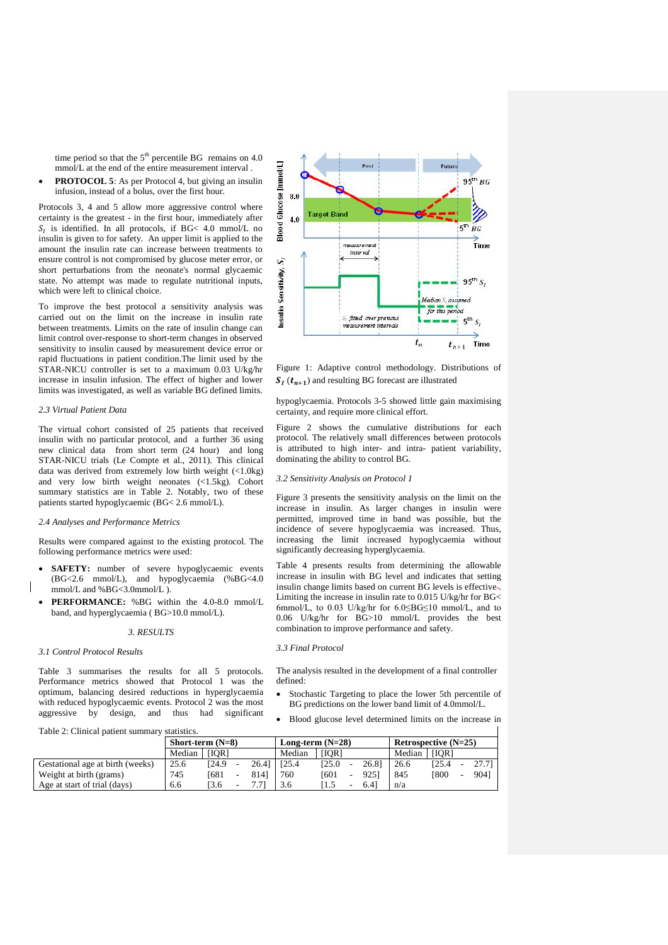time period so that the  $5<sup>th</sup>$  percentile BG remains on 4.0 mmol/L at the end of the entire measurement interval .

**PROTOCOL 5**: As per Protocol 4, but giving an insulin infusion, instead of a bolus, over the first hour.

Protocols 3, 4 and 5 allow more aggressive control where certainty is the greatest - in the first hour, immediately after  $S_l$  is identified. In all protocols, if BG< 4.0 mmol/L no insulin is given to for safety. An upper limit is applied to the amount the insulin rate can increase between treatments to ensure control is not compromised by glucose meter error, or short perturbations from the neonate's normal glycaemic state. No attempt was made to regulate nutritional inputs, which were left to clinical choice.

To improve the best protocol a sensitivity analysis was carried out on the limit on the increase in insulin rate between treatments. Limits on the rate of insulin change can limit control over-response to short-term changes in observed sensitivity to insulin caused by measurement device error or rapid fluctuations in patient condition.The limit used by the STAR-NICU controller is set to a maximum 0.03 U/kg/hr increase in insulin infusion. The effect of higher and lower limits was investigated, as well as variable BG defined limits.

## *2.3 Virtual Patient Data*

The virtual cohort consisted of 25 patients that received insulin with no particular protocol, and a further 36 using new clinical data from short term (24 hour) and long STAR-NICU trials [\(Le Compte et al., 2011\)](#page-5-10). This clinical data was derived from extremely low birth weight (<1.0kg) and very low birth weight neonates (<1.5kg). Cohort summary statistics are in Table 2. Notably, two of these patients started hypoglycaemic (BG< 2.6 mmol/L).

### *2.4 Analyses and Performance Metrics*

Results were compared against to the existing protocol. The following performance metrics were used:

- SAFETY: number of severe hypoglycaemic events (BG<2.6 mmol/L), and hypoglycaemia (%BG<4.0 mmol/L and %BG<3.0mmol/L ).
- **PERFORMANCE:** %BG within the 4.0-8.0 mmol/L band, and hyperglycaemia ( BG>10.0 mmol/L).

#### *3. RESULTS*

#### *3.1 Control Protocol Results*

Table 3 summarises the results for all 5 protocols. Performance metrics showed that Protocol 1 was the optimum, balancing desired reductions in hyperglycaemia with reduced hypoglycaemic events. Protocol 2 was the most aggressive by design, and thus had significant



Figure 1: Adaptive control methodology. Distributions of  $S_I(t_{n+1})$  and resulting BG forecast are illustrated

hypoglycaemia. Protocols 3-5 showed little gain maximising certainty, and require more clinical effort.

Figure 2 shows the cumulative distributions for each protocol. The relatively small differences between protocols is attributed to high inter- and intra- patient variability, dominating the ability to control BG.

# *3.2 Sensitivity Analysis on Protocol 1*

Figure 3 presents the sensitivity analysis on the limit on the increase in insulin. As larger changes in insulin were permitted, improved time in band was possible, but the incidence of severe hypoglycaemia was increased. Thus, increasing the limit increased hypoglycaemia without significantly decreasing hyperglycaemia.

Table 4 presents results from determining the allowable increase in insulin with BG level and indicates that setting insulin change limits based on current BG levels is effective-. Limiting the increase in insulin rate to 0.015 U/kg/hr for BG< 6mmol/L, to 0.03 U/kg/hr for 6.0≤BG≤10 mmol/L, and to 0.06 U/kg/hr for BG>10 mmol/L provides the best combination to improve performance and safety.

*3.3 Final Protocol*

The analysis resulted in the development of a final controller defined:

- Stochastic Targeting to place the lower 5th percentile of BG predictions on the lower band limit of 4.0mmol/L.
- Blood glucose level determined limits on the increase in

| Table 2: Clinical patient summary statistics. |                    |              |                    |       |        |                        |   |       |        |       |  |          |
|-----------------------------------------------|--------------------|--------------|--------------------|-------|--------|------------------------|---|-------|--------|-------|--|----------|
|                                               | Short-term $(N=8)$ |              | Long-term $(N=28)$ |       |        | Retrospective $(N=25)$ |   |       |        |       |  |          |
|                                               | Median             | [IOR]        |                    |       | Median | [IOR]                  |   |       | Median | [IOR] |  |          |
| Gestational age at birth (weeks)              | 25.6               | <b>124.9</b> |                    | 26.41 | 125.4  | 125.0                  |   | 26.81 | 26.6   | 125.4 |  | $27.7$ ] |
| Weight at birth (grams)                       | 745                | [681         | ۰                  | 8141  | 760    | [601                   | ٠ | 9251  | 845    | [800] |  | 9041     |
| Age at start of trial (days)                  | 6.6                | 13.6         |                    | 7.71  | 3.6    | I 1.5                  | ۰ | 6.41  | n/a    |       |  |          |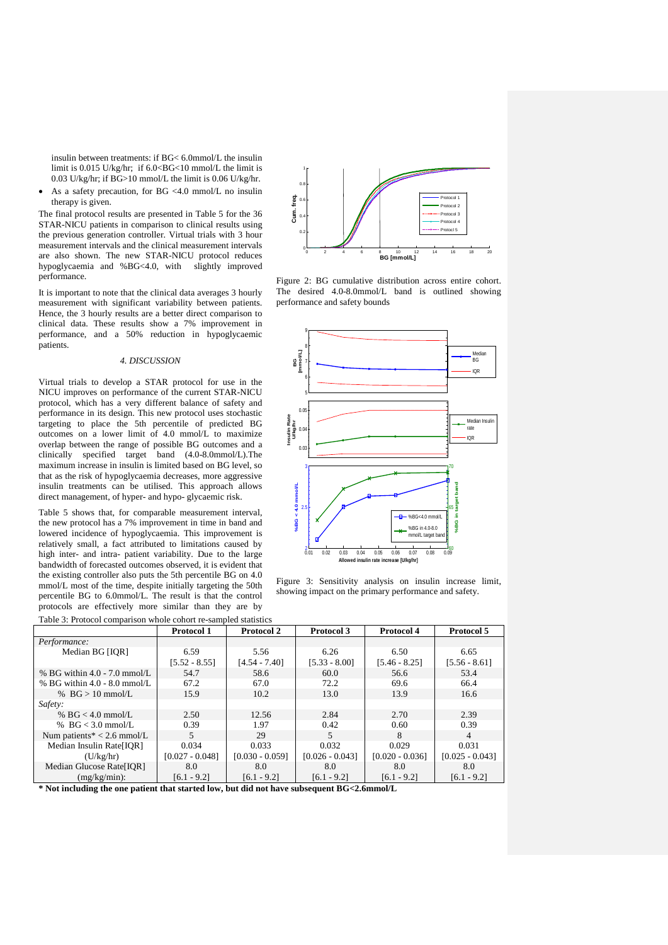insulin between treatments: if BG< 6.0mmol/L the insulin limit is  $0.015$  U/kg/hr; if  $6.0 < B$ G $< 10$  mmol/L the limit is 0.03 U/kg/hr; if BG>10 mmol/L the limit is 0.06 U/kg/hr.

• As a safety precaution, for BG <4.0 mmol/L no insulin therapy is given.

The final protocol results are presented in Table 5 for the 36 STAR-NICU patients in comparison to clinical results using the previous generation controller. Virtual trials with 3 hour measurement intervals and the clinical measurement intervals are also shown. The new STAR-NICU protocol reduces hypoglycaemia and %BG<4.0, with slightly improved performance.

It is important to note that the clinical data averages 3 hourly measurement with significant variability between patients. Hence, the 3 hourly results are a better direct comparison to clinical data. These results show a 7% improvement in performance, and a 50% reduction in hypoglycaemic patients.

# *4. DISCUSSION*

Virtual trials to develop a STAR protocol for use in the NICU improves on performance of the current STAR-NICU protocol, which has a very different balance of safety and performance in its design. This new protocol uses stochastic targeting to place the 5th percentile of predicted BG outcomes on a lower limit of 4.0 mmol/L to maximize overlap between the range of possible BG outcomes and a clinically specified target band (4.0-8.0mmol/L).The maximum increase in insulin is limited based on BG level, so that as the risk of hypoglycaemia decreases, more aggressive insulin treatments can be utilised. This approach allows direct management, of hyper- and hypo- glycaemic risk.

Table 5 shows that, for comparable measurement interval, the new protocol has a 7% improvement in time in band and lowered incidence of hypoglycaemia. This improvement is relatively small, a fact attributed to limitations caused by high inter- and intra- patient variability. Due to the large bandwidth of forecasted outcomes observed, it is evident that the existing controller also puts the 5th percentile BG on 4.0 mmol/L most of the time, despite initially targeting the 50th percentile BG to 6.0mmol/L. The result is that the control protocols are effectively more similar than they are by





Figure 2: BG cumulative distribution across entire cohort. The desired 4.0-8.0mmol/L band is outlined showing performance and safety bounds



Figure 3: Sensitivity analysis on insulin increase limit, showing impact on the primary performance and safety.

| Table 5. I Tolocol comparison whole conort to sampled statistics                                                                                                                                                                                                                                            |                   |                   |                   |                   |                   |  |  |
|-------------------------------------------------------------------------------------------------------------------------------------------------------------------------------------------------------------------------------------------------------------------------------------------------------------|-------------------|-------------------|-------------------|-------------------|-------------------|--|--|
|                                                                                                                                                                                                                                                                                                             | <b>Protocol 1</b> | <b>Protocol 2</b> | Protocol 3        | Protocol 4        | <b>Protocol 5</b> |  |  |
| Performance:                                                                                                                                                                                                                                                                                                |                   |                   |                   |                   |                   |  |  |
| Median BG [IOR]                                                                                                                                                                                                                                                                                             | 6.59              | 5.56              | 6.26              | 6.50              | 6.65              |  |  |
|                                                                                                                                                                                                                                                                                                             | $[5.52 - 8.55]$   | $[4.54 - 7.40]$   | $[5.33 - 8.00]$   | $[5.46 - 8.25]$   | $[5.56 - 8.61]$   |  |  |
| % BG within $4.0 - 7.0$ mmol/L                                                                                                                                                                                                                                                                              | 54.7              | 58.6              | 60.0              | 56.6              | 53.4              |  |  |
| $% BG$ within 4.0 - 8.0 mmol/L                                                                                                                                                                                                                                                                              | 67.2              | 67.0              | 72.2              | 69.6              | 66.4              |  |  |
| % $BG > 10$ mmol/L                                                                                                                                                                                                                                                                                          | 15.9              | 10.2              | 13.0              | 13.9              | 16.6              |  |  |
| Safety:                                                                                                                                                                                                                                                                                                     |                   |                   |                   |                   |                   |  |  |
| % BG $<$ 4.0 mmol/L                                                                                                                                                                                                                                                                                         | 2.50              | 12.56             | 2.84              | 2.70              | 2.39              |  |  |
| % BG $<$ 3.0 mmol/L                                                                                                                                                                                                                                                                                         | 0.39              | 1.97              | 0.42              | 0.60              | 0.39              |  |  |
| Num patients* $<$ 2.6 mmol/L                                                                                                                                                                                                                                                                                | 5.                | 29                | 5.                | 8                 | $\overline{4}$    |  |  |
| Median Insulin Rate[IOR]                                                                                                                                                                                                                                                                                    | 0.034             | 0.033             | 0.032             | 0.029             | 0.031             |  |  |
| (U/kg/hr)                                                                                                                                                                                                                                                                                                   | $[0.027 - 0.048]$ | $[0.030 - 0.059]$ | $[0.026 - 0.043]$ | $[0.020 - 0.036]$ | $[0.025 - 0.043]$ |  |  |
| Median Glucose Rate[IOR]                                                                                                                                                                                                                                                                                    | 8.0               | 8.0               | 8.0               | 8.0               | 8.0               |  |  |
| $(mg/kg/min)$ :                                                                                                                                                                                                                                                                                             | $[6.1 - 9.2]$     | $[6.1 - 9.2]$     | $[6.1 - 9.2]$     | $[6.1 - 9.2]$     | $[6.1 - 9.2]$     |  |  |
| $\mathbf{a}$ , $\mathbf{v}$ , $\mathbf{v}$ , $\mathbf{v}$ , $\mathbf{v}$ , $\mathbf{v}$ , $\mathbf{v}$ , $\mathbf{v}$ , $\mathbf{v}$ , $\mathbf{v}$ , $\mathbf{v}$ , $\mathbf{v}$ , $\mathbf{v}$ , $\mathbf{v}$ , $\mathbf{v}$ , $\mathbf{v}$ , $\mathbf{v}$ , $\mathbf{v}$ , $\mathbf{v}$ , $\mathbf{v}$ , |                   |                   |                   |                   |                   |  |  |

**\* Not including the one patient that started low, but did not have subsequent BG<2.6mmol/L**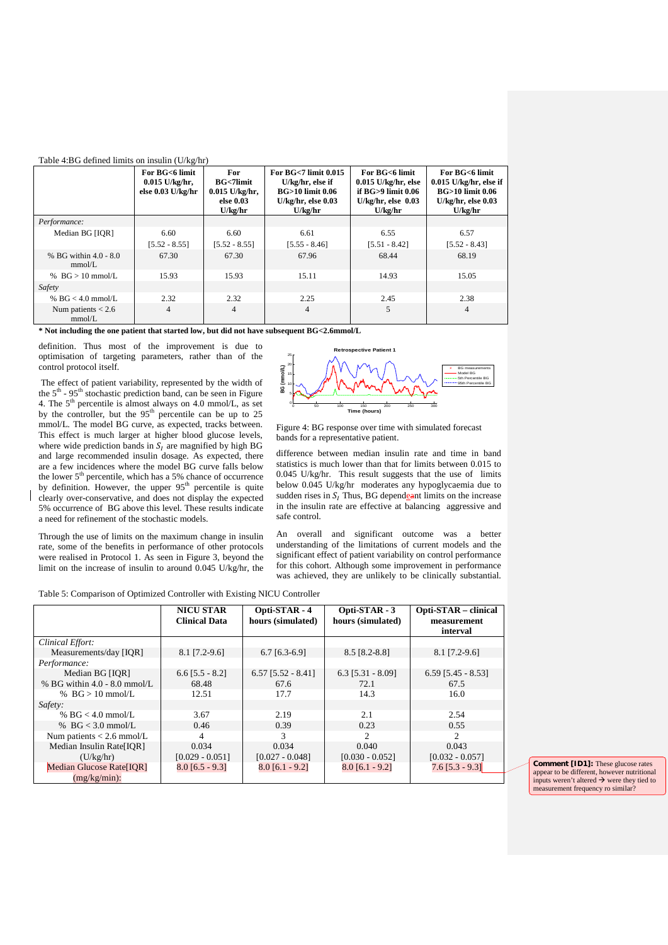| Table 4:BG defined limits on insulin $(U/kg/hr)$ |                                                         |                                                                      |                                                                                                                  |                                                                                                           |                                                                                                                |  |  |  |
|--------------------------------------------------|---------------------------------------------------------|----------------------------------------------------------------------|------------------------------------------------------------------------------------------------------------------|-----------------------------------------------------------------------------------------------------------|----------------------------------------------------------------------------------------------------------------|--|--|--|
|                                                  | For BG<6 limit<br>$0.015$ U/kg/hr,<br>else 0.03 U/kg/hr | For<br><b>BG</b> <7limit<br>$0.015$ U/kg/hr,<br>else 0.03<br>U/kg/hr | For $BG<7$ limit $0.015$<br>U/kg/hr, else if<br><b>BG&gt;10 limit 0.06</b><br>$U/kg/hr$ , else $0.03$<br>U/kg/hr | For BG<6 limit<br>$0.015$ U/kg/hr, else<br>if $BG > 9$ limit $0.06$<br>$U/kg/hr$ , else $0.03$<br>U/kg/hr | For BG<6 limit<br>$0.015$ U/kg/hr, else if<br><b>BG&gt;10 limit 0.06</b><br>$U/kg/hr$ , else $0.03$<br>U/kg/hr |  |  |  |
| Performance:                                     |                                                         |                                                                      |                                                                                                                  |                                                                                                           |                                                                                                                |  |  |  |
| Median BG [IOR]                                  | 6.60                                                    | 6.60                                                                 | 6.61                                                                                                             | 6.55                                                                                                      | 6.57                                                                                                           |  |  |  |
|                                                  | $[5.52 - 8.55]$                                         | $[5.52 - 8.55]$                                                      | $[5.55 - 8.46]$                                                                                                  | $[5.51 - 8.42]$                                                                                           | $[5.52 - 8.43]$                                                                                                |  |  |  |
| % BG within 4.0 - 8.0<br>mmol/L                  | 67.30                                                   | 67.30                                                                | 67.96                                                                                                            | 68.44                                                                                                     | 68.19                                                                                                          |  |  |  |
| % $BG > 10$ mmol/L                               | 15.93                                                   | 15.93                                                                | 15.11                                                                                                            | 14.93                                                                                                     | 15.05                                                                                                          |  |  |  |
| Safety                                           |                                                         |                                                                      |                                                                                                                  |                                                                                                           |                                                                                                                |  |  |  |
| % BG $<$ 4.0 mmol/L                              | 2.32                                                    | 2.32                                                                 | 2.25                                                                                                             | 2.45                                                                                                      | 2.38                                                                                                           |  |  |  |
| Num patients $< 2.6$<br>mmol/L                   | $\overline{4}$                                          | 4                                                                    | $\overline{4}$                                                                                                   | 5                                                                                                         | $\overline{4}$                                                                                                 |  |  |  |

**\* Not including the one patient that started low, but did not have subsequent BG<2.6mmol/L**

definition. Thus most of the improvement is due to optimisation of targeting parameters, rather than of the control protocol itself.

The effect of patient variability, represented by the width of the  $5<sup>th</sup>$  - 95<sup>th</sup> stochastic prediction band, can be seen in Figure 4. The  $5<sup>th</sup>$  percentile is almost always on 4.0 mmol/L, as set by the controller, but the  $95<sup>th</sup>$  percentile can be up to 25 mmol/L. The model BG curve, as expected, tracks between. This effect is much larger at higher blood glucose levels, where wide prediction bands in  $S_I$  are magnified by high BG and large recommended insulin dosage. As expected, there are a few incidences where the model BG curve falls below the lower 5<sup>th</sup> percentile, which has a 5% chance of occurrence by definition. However, the upper  $95<sup>th</sup>$  percentile is quite clearly over-conservative, and does not display the expected 5% occurrence of BG above this level. These results indicate a need for refinement of the stochastic models.

Through the use of limits on the maximum change in insulin rate, some of the benefits in performance of other protocols were realised in Protocol 1. As seen in Figure 3, beyond the limit on the increase of insulin to around 0.045 U/kg/hr, the



Figure 4: BG response over time with simulated forecast bands for a representative patient.

difference between median insulin rate and time in band statistics is much lower than that for limits between 0.015 to 0.045 U/kg/hr. This result suggests that the use of limits below 0.045 U/kg/hr moderates any hypoglycaemia due to sudden rises in  $S_I$  Thus, BG dependent limits on the increase in the insulin rate are effective at balancing aggressive and safe control.

An overall and significant outcome was a better understanding of the limitations of current models and the significant effect of patient variability on control performance for this cohort. Although some improvement in performance was achieved, they are unlikely to be clinically substantial.

Table 5: Comparison of Optimized Controller with Existing NICU Controller

|                                | <b>NICU STAR</b><br><b>Clinical Data</b> | Opti-STAR - 4<br>hours (simulated) | Opti-STAR - 3<br>hours (simulated) | Opti-STAR – clinical<br>measurement<br>interval |
|--------------------------------|------------------------------------------|------------------------------------|------------------------------------|-------------------------------------------------|
| Clinical Effort:               |                                          |                                    |                                    |                                                 |
| Measurements/day [IOR]         | $8.1$ [7.2-9.6]                          | $6.7$ [6.3-6.9]                    | 8.5 [8.2-8.8]                      | $8.1$ [7.2-9.6]                                 |
| Performance:                   |                                          |                                    |                                    |                                                 |
| Median BG [IQR]                | $6.6$ [5.5 - 8.2]                        | $6.57$ [5.52 - 8.41]               | $6.3$ [5.31 - 8.09]                | $6.59$ [5.45 - 8.53]                            |
| % BG within $4.0 - 8.0$ mmol/L | 68.48                                    | 67.6                               | 72.1                               | 67.5                                            |
| % $BG > 10$ mmol/L             | 12.51                                    | 17.7                               | 14.3                               | 16.0                                            |
| Safety:                        |                                          |                                    |                                    |                                                 |
| % $BG < 4.0$ mmol/L            | 3.67                                     | 2.19                               | 2.1                                | 2.54                                            |
| % BG $<$ 3.0 mmol/L            | 0.46                                     | 0.39                               | 0.23                               | 0.55                                            |
| Num patients $< 2.6$ mmol/L    | 4                                        | 3                                  | $\mathfrak{D}$                     | $\mathfrak{D}$                                  |
| Median Insulin Rate[IOR]       | 0.034                                    | 0.034                              | 0.040                              | 0.043                                           |
| (U/kg/hr)                      | $[0.029 - 0.051]$                        | $[0.027 - 0.048]$                  | $[0.030 - 0.052]$                  | $[0.032 - 0.057]$                               |
| Median Glucose Rate[IOR]       | $8.0$ [6.5 - 9.3]                        | $8.0$ [6.1 - 9.2]                  | $8.0$ [6.1 - 9.2]                  | $7.6$ [5.3 - 9.3]                               |
| $(mg/kg/min)$ :                |                                          |                                    |                                    |                                                 |

**Comment [ID1]:** These glucose rates appear to be different, however nutritional inputs weren't altered  $\rightarrow$  were they tied to measurement frequency ro similar?